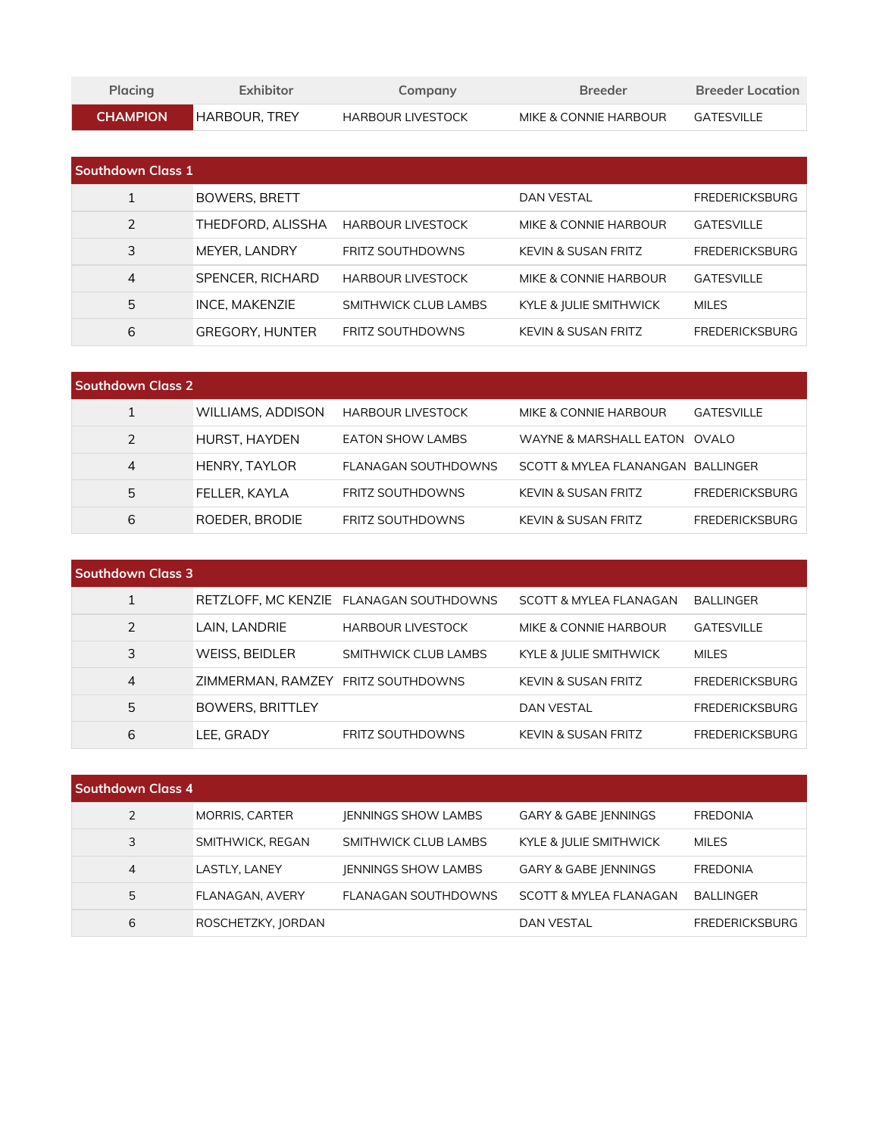| <b>Placing</b>  | Exhibitor            | Company                  | <b>Breeder</b>        | <b>Breeder Location</b> |
|-----------------|----------------------|--------------------------|-----------------------|-------------------------|
| <b>CHAMPION</b> | <b>HARBOUR, TREY</b> | <b>HARBOUR LIVESTOCK</b> | MIKE & CONNIE HARBOUR | <b>GATESVILLE</b>       |

| <b>Southdown Class 1</b> |                        |                          |                                |                       |  |
|--------------------------|------------------------|--------------------------|--------------------------------|-----------------------|--|
|                          | <b>BOWERS, BRETT</b>   |                          | <b>DAN VESTAL</b>              | <b>FREDERICKSBURG</b> |  |
| 2                        | THEDFORD, ALISSHA      | <b>HARBOUR LIVESTOCK</b> | MIKE & CONNIE HARBOUR          | <b>GATESVILLE</b>     |  |
| 3                        | MEYER, LANDRY          | <b>FRITZ SOUTHDOWNS</b>  | KEVIN & SUSAN FRITZ            | <b>FREDERICKSBURG</b> |  |
| 4                        | SPENCER, RICHARD       | <b>HARBOUR LIVESTOCK</b> | MIKE & CONNIE HARBOUR          | <b>GATESVILLE</b>     |  |
| 5                        | <b>INCE, MAKENZIE</b>  | SMITHWICK CLUB LAMBS     | KYLE & JULIE SMITHWICK         | <b>MILES</b>          |  |
| 6                        | <b>GREGORY, HUNTER</b> | <b>FRITZ SOUTHDOWNS</b>  | <b>KEVIN &amp; SUSAN FRITZ</b> | <b>FREDERICKSBURG</b> |  |

| <b>Southdown Class 2</b> |                      |                          |                                   |                       |  |
|--------------------------|----------------------|--------------------------|-----------------------------------|-----------------------|--|
|                          | WILLIAMS, ADDISON    | <b>HARBOUR LIVESTOCK</b> | MIKE & CONNIE HARBOUR             | <b>GATESVILLE</b>     |  |
| $\mathcal{P}$            | <b>HURST, HAYDEN</b> | EATON SHOW LAMBS         | WAYNE & MARSHALL EATON OVALO      |                       |  |
| 4                        | <b>HENRY, TAYLOR</b> | FLANAGAN SOUTHDOWNS      | SCOTT & MYLEA FLANANGAN BALLINGER |                       |  |
| 5                        | FELLER. KAYLA        | <b>FRITZ SOUTHDOWNS</b>  | KEVIN & SUSAN FRITZ               | <b>FREDERICKSBURG</b> |  |
| 6                        | ROEDER, BRODIE       | <b>FRITZ SOUTHDOWNS</b>  | KEVIN & SUSAN FRITZ               | <b>FREDERICKSBURG</b> |  |

| <b>Southdown Class 3</b> |                                    |                                         |                        |                       |  |
|--------------------------|------------------------------------|-----------------------------------------|------------------------|-----------------------|--|
| 1                        |                                    | RETZLOFF, MC KENZIE FLANAGAN SOUTHDOWNS | SCOTT & MYLEA FLANAGAN | <b>BALLINGER</b>      |  |
| 2                        | LAIN, LANDRIE                      | <b>HARBOUR LIVESTOCK</b>                | MIKE & CONNIE HARBOUR  | <b>GATESVILLE</b>     |  |
| 3                        | WEISS, BEIDLER                     | SMITHWICK CLUB LAMBS                    | KYLE & JULIE SMITHWICK | <b>MILES</b>          |  |
| 4                        | ZIMMERMAN, RAMZEY FRITZ SOUTHDOWNS |                                         | KEVIN & SUSAN FRITZ    | <b>FREDERICKSBURG</b> |  |
| 5                        | <b>BOWERS, BRITTLEY</b>            |                                         | <b>DAN VESTAL</b>      | <b>FREDERICKSBURG</b> |  |
| 6                        | LEE. GRADY                         | <b>FRITZ SOUTHDOWNS</b>                 | KEVIN & SUSAN FRITZ    | <b>FREDERICKSBURG</b> |  |

| <b>Southdown Class 4</b> |                        |                            |                                   |                       |  |
|--------------------------|------------------------|----------------------------|-----------------------------------|-----------------------|--|
| $\overline{2}$           | <b>MORRIS, CARTER</b>  | <b>IENNINGS SHOW LAMBS</b> | <b>GARY &amp; GABE IENNINGS</b>   | <b>FREDONIA</b>       |  |
| 3                        | SMITHWICK, REGAN       | SMITHWICK CLUB LAMBS       | <b>KYLE &amp; JULIE SMITHWICK</b> | <b>MILES</b>          |  |
| $\overline{4}$           | LASTLY, LANEY          | <b>IENNINGS SHOW LAMBS</b> | <b>GARY &amp; GABE IENNINGS</b>   | <b>FREDONIA</b>       |  |
| 5                        | <b>FLANAGAN, AVERY</b> | FLANAGAN SOUTHDOWNS        | SCOTT & MYLEA FLANAGAN            | <b>BALLINGER</b>      |  |
| 6                        | ROSCHETZKY, JORDAN     |                            | <b>DAN VESTAL</b>                 | <b>FREDERICKSBURG</b> |  |